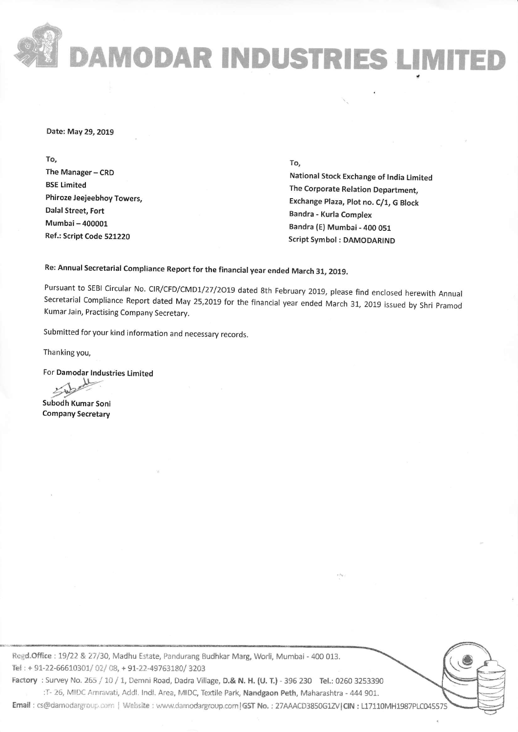## DAMODAR INDUSTRIES LIMITE

Date: May 29, 2019

To, The Manager - CRD BSE Limited Phiroze Jeejeebhoy Towers, Dalal Street, Fort Mumbai-400001 Ref.; Script Code 521220

## fo,

National Stock Exchange of tndia Limited The Corporate Relation Department, Exchange Plaza, plot no. C/1, G Block Bandra - Kurla Complex Bandra (E) Mumbai - 4OO 051 Script Symbol : DAMODARIND

Re: Annual Secretarial Compliance Report for the financial year ended March 31, 2019.

Pursuant to SEBI Circular No. CIR/CFD/CMD1/27/2019 dated 8th February 2019, please find enclosed herewith Annual secretarial compliance Report dated May 25,2o1g for the financial year ended March 31, 2019 issued by shri pramod Kumar Jain, Practising Company Secretary.

Submitted for your kind information and necessary records.

Thanking you,

For Damodar Industries Limited

Subodh Kumar Soni Company Secretary

Regd.Office : 19/22 & 27/30, Madhu Estate, Pandurang Budhkar Marg, Worli, Mumbai - 400 013. Tel: + 91-22-66610301/02/08, + 91-22-49763180/3203 Factory : Survey No. 265 / 10 / 1, Demni Road, Dadra Village, D.& N. H. (U. T.) - 396 230 Tel.: 0260 3253390 :T- 26, MIDC Amravati, Addl. lndl. Area, MIDC, Textile Park, Nandgaon Peth, Maharashtra - 444 901. Email : cs@damodargroup.corn | Website : www.damodargroup.com | GST No. : 27AAACD3850G1ZV|CIN : L17110MH1987PLC045575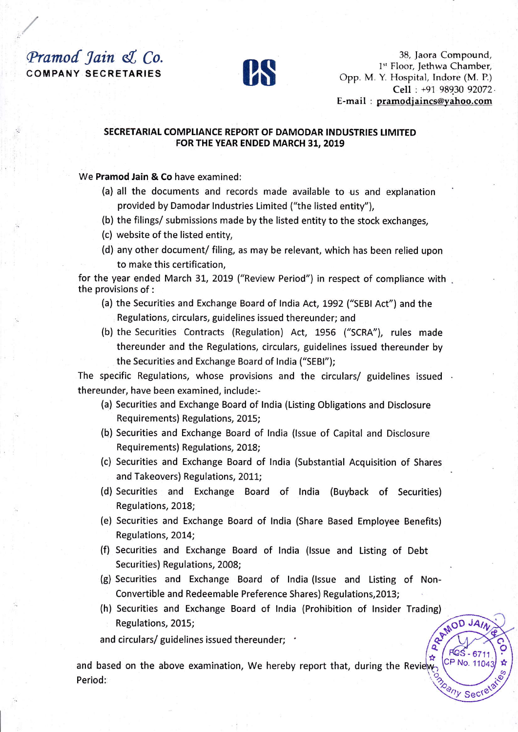## Pramod Jain & Co. **COMPANY SECRETARIES**



38, Jaora Compound, 1st Floor, Jethwa Chamber, Opp. M. Y. Hospital, Indore (M. P.) Cell: +91 98930 92072. E-mail : pramodjaincs@yahoo.com

CP No. 110

any Sect

## SECRETARIAL COMPLIANCE REPORT OF DAMODAR INDUSTRIES LIMITED FOR THE YEAR ENDED MARCH 31, 2019

We Pramod Jain & Co have examined:

- (a) all the documents and records made available to us and explanation provided by Damodar Industries Limited ("the listed entity"),
- (b) the filings/ submissions made by the listed entity to the stock exchanges,
- (c) website of the listed entity,
- (d) any other document/ filing, as may be relevant, which has been relied upon to make this certification.

for the year ended March 31, 2019 ("Review Period") in respect of compliance with the provisions of :

- (a) the Securities and Exchange Board of India Act, 1992 ("SEBI Act") and the Regulations, circulars, guidelines issued thereunder; and
- (b) the Securities Contracts (Regulation) Act, 1956 ("SCRA"), rules made thereunder and the Regulations, circulars, guidelines issued thereunder by the Securities and Exchange Board of India ("SEBI");

The specific Regulations, whose provisions and the circulars/ guidelines issued . thereunder, have been examined, include:-

- (a) Securities and Exchange Board of India (Listing Obligations and Disclosure Requirements) Regulations, 2015;
- (b) Securities and Exchange Board of India (Issue of Capital and Disclosure Requirements) Regulations, 2018;
- (c) Securities and Exchange Board of India (Substantial Acquisition of Shares and Takeovers) Regulations, 2011;
- (d) Securities and Exchange Board of India (Buyback of Securities) Regulations, 2018;
- (e) Securities and Exchange Board of India (Share Based Employee Benefits) Regulations, 2014;
- (f) Securities and Exchange Board of India (Issue and Listing of Debt Securities) Regulations, 2008;
- (g) Securities and Exchange Board of India (Issue and Listing of Non-Convertible and Redeemable Preference Shares) Regulations, 2013;
- REMOD JA, (h) Securities and Exchange Board of India (Prohibition of Insider Trading) Regulations, 2015;

and circulars/ guidelines issued thereunder; .

and based on the above examination, We hereby report that, during the Review Period: